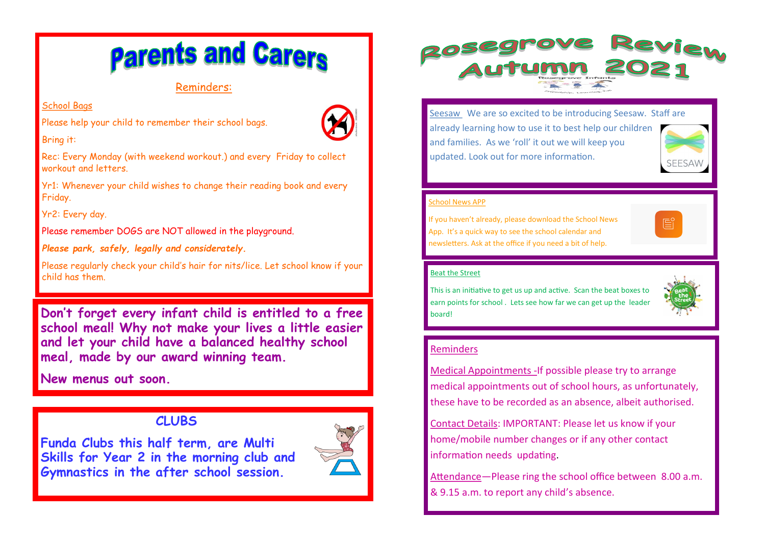# **Parents and Carers**

## Reminders:

### School Bags

Please help your child to remember their school bags.



Bring it:

Rec: Every Monday (with weekend workout.) and every Friday to collect workout and letters.

Yr1: Whenever your child wishes to change their reading book and every Friday.

Yr2: Every day.

Please remember DOGS are NOT allowed in the playground.

*Please park, safely, legally and considerately.* 

Please regularly check your child's hair for nits/lice. Let school know if your child has them.

**Don't forget every infant child is entitled to a free school meal! Why not make your lives a little easier and let your child have a balanced healthy school meal, made by our award winning team.** 

**New menus out soon.** 

# **CLUBS**

**Funda Clubs this half term, are Multi Skills for Year 2 in the morning club and Gymnastics in the after school session.** 





Seesaw We are so excited to be introducing Seesaw. Staff are already learning how to use it to best help our children and families. As we 'roll' it out we will keep you updated. Look out for more information. **SEESAW** 

#### School News APP

If you haven't already, please download the School News App. It's a quick way to see the school calendar and newsletters. Ask at the office if you need a bit of help.



#### Beat the Street

This is an initiative to get us up and active. Scan the beat boxes to earn points for school . Lets see how far we can get up the leader board!



#### Reminders

Medical Appointments - If possible please try to arrange medical appointments out of school hours, as unfortunately, these have to be recorded as an absence, albeit authorised.

Contact Details: IMPORTANT: Please let us know if your home/mobile number changes or if any other contact information needs updating.

Attendance—Please ring the school office between 8.00 a.m. & 9.15 a.m. to report any child's absence.